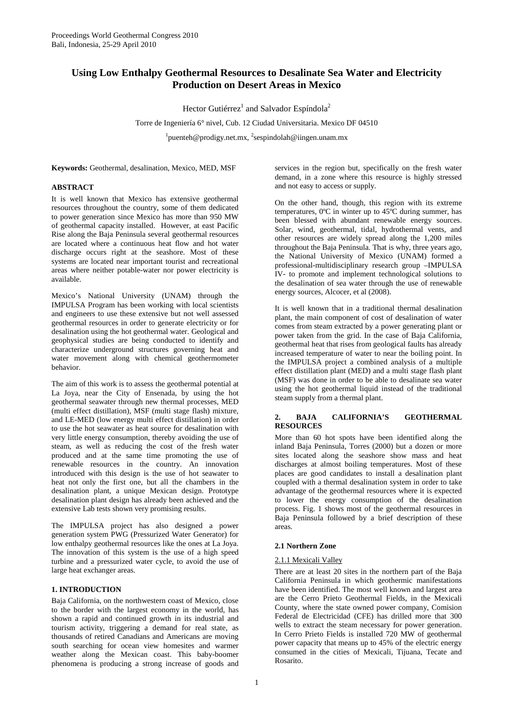# **Using Low Enthalpy Geothermal Resources to Desalinate Sea Water and Electricity Production on Desert Areas in Mexico**

Hector Gutiérrez<sup>1</sup> and Salvador Espíndola<sup>2</sup>

Torre de Ingeniería 6° nivel, Cub. 12 Ciudad Universitaria. Mexico DF 04510 <sup>1</sup>puenteh@prodigy.net.mx, <sup>2</sup>sespindolah@iingen.unam.mx

**Keywords:** Geothermal, desalination, Mexico, MED, MSF

# **ABSTRACT**

It is well known that Mexico has extensive geothermal resources throughout the country, some of them dedicated to power generation since Mexico has more than 950 MW of geothermal capacity installed. However, at east Pacific Rise along the Baja Peninsula several geothermal resources are located where a continuous heat flow and hot water discharge occurs right at the seashore. Most of these systems are located near important tourist and recreational areas where neither potable-water nor power electricity is available.

Mexico's National University (UNAM) through the IMPULSA Program has been working with local scientists and engineers to use these extensive but not well assessed geothermal resources in order to generate electricity or for desalination using the hot geothermal water. Geological and geophysical studies are being conducted to identify and characterize underground structures governing heat and water movement along with chemical geothermometer behavior.

The aim of this work is to assess the geothermal potential at La Joya, near the City of Ensenada, by using the hot geothermal seawater through new thermal processes, MED (multi effect distillation), MSF (multi stage flash) mixture, and LE-MED (low energy multi effect distillation) in order to use the hot seawater as heat source for desalination with very little energy consumption, thereby avoiding the use of steam, as well as reducing the cost of the fresh water produced and at the same time promoting the use of renewable resources in the country. An innovation introduced with this design is the use of hot seawater to heat not only the first one, but all the chambers in the desalination plant, a unique Mexican design. Prototype desalination plant design has already been achieved and the extensive Lab tests shown very promising results.

The IMPULSA project has also designed a power generation system PWG (Pressurized Water Generator) for low enthalpy geothermal resources like the ones at La Joya. The innovation of this system is the use of a high speed turbine and a pressurized water cycle, to avoid the use of large heat exchanger areas.

# **1. INTRODUCTION**

Baja California, on the northwestern coast of Mexico, close to the border with the largest economy in the world, has shown a rapid and continued growth in its industrial and tourism activity, triggering a demand for real state, as thousands of retired Canadians and Americans are moving south searching for ocean view homesites and warmer weather along the Mexican coast. This baby-boomer phenomena is producing a strong increase of goods and services in the region but, specifically on the fresh water demand, in a zone where this resource is highly stressed and not easy to access or supply.

On the other hand, though, this region with its extreme temperatures, 0ºC in winter up to 45ºC during summer, has been blessed with abundant renewable energy sources. Solar, wind, geothermal, tidal, hydrothermal vents, and other resources are widely spread along the 1,200 miles throughout the Baja Peninsula. That is why, three years ago, the National University of Mexico (UNAM) formed a professional-multidisciplinary research group –IMPULSA IV- to promote and implement technological solutions to the desalination of sea water through the use of renewable energy sources, Alcocer, et al (2008).

It is well known that in a traditional thermal desalination plant, the main component of cost of desalination of water comes from steam extracted by a power generating plant or power taken from the grid. In the case of Baja California, geothermal heat that rises from geological faults has already increased temperature of water to near the boiling point. In the IMPULSA project a combined analysis of a multiple effect distillation plant (MED) and a multi stage flash plant (MSF) was done in order to be able to desalinate sea water using the hot geothermal liquid instead of the traditional steam supply from a thermal plant.

# **2. BAJA CALIFORNIA'S GEOTHERMAL RESOURCES**

More than 60 hot spots have been identified along the inland Baja Peninsula, Torres (2000) but a dozen or more sites located along the seashore show mass and heat discharges at almost boiling temperatures. Most of these places are good candidates to install a desalination plant coupled with a thermal desalination system in order to take advantage of the geothermal resources where it is expected to lower the energy consumption of the desalination process. Fig. 1 shows most of the geothermal resources in Baja Peninsula followed by a brief description of these areas.

## **2.1 Northern Zone**

# 2.1.1 Mexicali Valley

There are at least 20 sites in the northern part of the Baja California Peninsula in which geothermic manifestations have been identified. The most well known and largest area are the Cerro Prieto Geothermal Fields, in the Mexicali County, where the state owned power company, Comision Federal de Electricidad (CFE) has drilled more that 300 wells to extract the steam necessary for power generation. In Cerro Prieto Fields is installed 720 MW of geothermal power capacity that means up to 45% of the electric energy consumed in the cities of Mexicali, Tijuana, Tecate and Rosarito.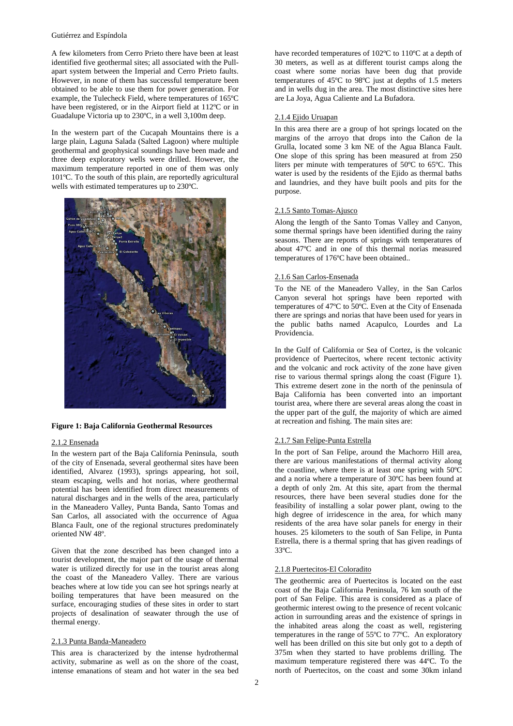#### Gutiérrez and Espíndola

A few kilometers from Cerro Prieto there have been at least identified five geothermal sites; all associated with the Pullapart system between the Imperial and Cerro Prieto faults. However, in none of them has successful temperature been obtained to be able to use them for power generation. For example, the Tulecheck Field, where temperatures of 165ºC have been registered, or in the Airport field at 112ºC or in Guadalupe Victoria up to 230ºC, in a well 3,100m deep.

In the western part of the Cucapah Mountains there is a large plain, Laguna Salada (Salted Lagoon) where multiple geothermal and geophysical soundings have been made and three deep exploratory wells were drilled. However, the maximum temperature reported in one of them was only 101ºC. To the south of this plain, are reportedly agricultural wells with estimated temperatures up to 230ºC.



## **Figure 1: Baja California Geothermal Resources**

## 2.1.2 Ensenada

In the western part of the Baja California Peninsula, south of the city of Ensenada, several geothermal sites have been identified, Alvarez (1993), springs appearing, hot soil, steam escaping, wells and hot norias, where geothermal potential has been identified from direct measurements of natural discharges and in the wells of the area, particularly in the Maneadero Valley, Punta Banda, Santo Tomas and San Carlos, all associated with the occurrence of Agua Blanca Fault, one of the regional structures predominately oriented NW 48º.

Given that the zone described has been changed into a tourist development, the major part of the usage of thermal water is utilized directly for use in the tourist areas along the coast of the Maneadero Valley. There are various beaches where at low tide you can see hot springs nearly at boiling temperatures that have been measured on the surface, encouraging studies of these sites in order to start projects of desalination of seawater through the use of thermal energy.

#### 2.1.3 Punta Banda-Maneadero

This area is characterized by the intense hydrothermal activity, submarine as well as on the shore of the coast, intense emanations of steam and hot water in the sea bed have recorded temperatures of 102°C to 110°C at a depth of 30 meters, as well as at different tourist camps along the coast where some norias have been dug that provide temperatures of 45ºC to 98ºC just at depths of 1.5 meters and in wells dug in the area. The most distinctive sites here are La Joya, Agua Caliente and La Bufadora.

#### 2.1.4 Ejido Uruapan

In this area there are a group of hot springs located on the margins of the arroyo that drops into the Cañon de la Grulla, located some 3 km NE of the Agua Blanca Fault. One slope of this spring has been measured at from 250 liters per minute with temperatures of 50ºC to 65ºC. This water is used by the residents of the Ejido as thermal baths and laundries, and they have built pools and pits for the purpose.

# 2.1.5 Santo Tomas-Ajusco

Along the length of the Santo Tomas Valley and Canyon, some thermal springs have been identified during the rainy seasons. There are reports of springs with temperatures of about 47ºC and in one of this thermal norias measured temperatures of 176ºC have been obtained..

# 2.1.6 San Carlos-Ensenada

To the NE of the Maneadero Valley, in the San Carlos Canyon several hot springs have been reported with temperatures of 47ºC to 50ºC. Even at the City of Ensenada there are springs and norias that have been used for years in the public baths named Acapulco, Lourdes and La Providencia.

In the Gulf of California or Sea of Cortez, is the volcanic providence of Puertecitos, where recent tectonic activity and the volcanic and rock activity of the zone have given rise to various thermal springs along the coast (Figure 1). This extreme desert zone in the north of the peninsula of Baja California has been converted into an important tourist area, where there are several areas along the coast in the upper part of the gulf, the majority of which are aimed at recreation and fishing. The main sites are:

# 2.1.7 San Felipe-Punta Estrella

In the port of San Felipe, around the Machorro Hill area, there are various manifestations of thermal activity along the coastline, where there is at least one spring with 50ºC and a noria where a temperature of 30ºC has been found at a depth of only 2m. At this site, apart from the thermal resources, there have been several studies done for the feasibility of installing a solar power plant, owing to the high degree of irridescence in the area, for which many residents of the area have solar panels for energy in their houses. 25 kilometers to the south of San Felipe, in Punta Estrella, there is a thermal spring that has given readings of 33ºC.

# 2.1.8 Puertecitos-El Coloradito

The geothermic area of Puertecitos is located on the east coast of the Baja California Peninsula, 76 km south of the port of San Felipe. This area is considered as a place of geothermic interest owing to the presence of recent volcanic action in surrounding areas and the existence of springs in the inhabited areas along the coast as well, registering temperatures in the range of 55ºC to 77ºC. An exploratory well has been drilled on this site but only got to a depth of 375m when they started to have problems drilling. The maximum temperature registered there was 44ºC. To the north of Puertecitos, on the coast and some 30km inland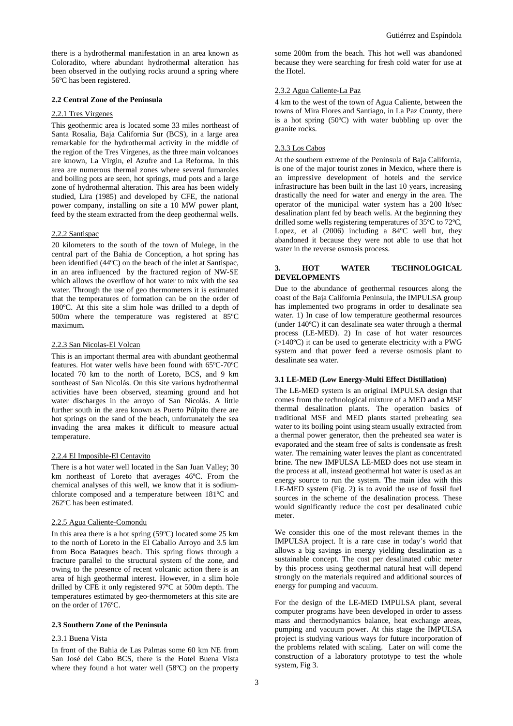there is a hydrothermal manifestation in an area known as Coloradito, where abundant hydrothermal alteration has been observed in the outlying rocks around a spring where 56ºC has been registered.

# **2.2 Central Zone of the Peninsula**

### 2.2.1 Tres Virgenes

This geothermic area is located some 33 miles northeast of Santa Rosalia, Baja California Sur (BCS), in a large area remarkable for the hydrothermal activity in the middle of the region of the Tres Virgenes, as the three main volcanoes are known, La Virgin, el Azufre and La Reforma. In this area are numerous thermal zones where several fumaroles and boiling pots are seen, hot springs, mud pots and a large zone of hydrothermal alteration. This area has been widely studied, Lira (1985) and developed by CFE, the national power company, installing on site a 10 MW power plant, feed by the steam extracted from the deep geothermal wells.

#### 2.2.2 Santispac

20 kilometers to the south of the town of Mulege, in the central part of the Bahia de Conception, a hot spring has been identified (44ºC) on the beach of the inlet at Santispac, in an area influenced by the fractured region of NW-SE which allows the overflow of hot water to mix with the sea water. Through the use of geo thermometers it is estimated that the temperatures of formation can be on the order of 180ºC. At this site a slim hole was drilled to a depth of 500m where the temperature was registered at 85ºC maximum.

#### 2.2.3 San Nicolas-El Volcan

This is an important thermal area with abundant geothermal features. Hot water wells have been found with 65ºC-70ºC located 70 km to the north of Loreto, BCS, and 9 km southeast of San Nicolás. On this site various hydrothermal activities have been observed, steaming ground and hot water discharges in the arroyo of San Nicolás. A little further south in the area known as Puerto Púlpito there are hot springs on the sand of the beach, unfortunately the sea invading the area makes it difficult to measure actual temperature.

#### 2.2.4 El Imposible-El Centavito

There is a hot water well located in the San Juan Valley; 30 km northeast of Loreto that averages 46ºC. From the chemical analyses of this well, we know that it is sodiumchlorate composed and a temperature between 181ºC and 262ºC has been estimated.

#### 2.2.5 Agua Caliente-Comondu

In this area there is a hot spring (59ºC) located some 25 km to the north of Loreto in the El Caballo Arroyo and 3.5 km from Boca Bataques beach. This spring flows through a fracture parallel to the structural system of the zone, and owing to the presence of recent volcanic action there is an area of high geothermal interest. However, in a slim hole drilled by CFE it only registered 97ºC at 500m depth. The temperatures estimated by geo-thermometers at this site are on the order of 176ºC.

# **2.3 Southern Zone of the Peninsula**

#### 2.3.1 Buena Vista

In front of the Bahia de Las Palmas some 60 km NE from San José del Cabo BCS, there is the Hotel Buena Vista where they found a hot water well (58ºC) on the property

some 200m from the beach. This hot well was abandoned because they were searching for fresh cold water for use at the Hotel.

# 2.3.2 Agua Caliente-La Paz

4 km to the west of the town of Agua Caliente, between the towns of Mira Flores and Santiago, in La Paz County, there is a hot spring (50ºC) with water bubbling up over the granite rocks.

# 2.3.3 Los Cabos

At the southern extreme of the Peninsula of Baja California, is one of the major tourist zones in Mexico, where there is an impressive development of hotels and the service infrastructure has been built in the last 10 years, increasing drastically the need for water and energy in the area. The operator of the municipal water system has a 200 lt/sec desalination plant fed by beach wells. At the beginning they drilled some wells registering temperatures of 35ºC to 72ºC, Lopez, et al (2006) including a 84ºC well but, they abandoned it because they were not able to use that hot water in the reverse osmosis process.

# **3. HOT WATER TECHNOLOGICAL DEVELOPMENTS**

Due to the abundance of geothermal resources along the coast of the Baja California Peninsula, the IMPULSA group has implemented two programs in order to desalinate sea water. 1) In case of low temperature geothermal resources (under 140ºC) it can desalinate sea water through a thermal process (LE-MED). 2) In case of hot water resources (>140ºC) it can be used to generate electricity with a PWG system and that power feed a reverse osmosis plant to desalinate sea water.

#### **3.1 LE-MED (Low Energy-Multi Effect Distillation)**

The LE-MED system is an original IMPULSA design that comes from the technological mixture of a MED and a MSF thermal desalination plants. The operation basics of traditional MSF and MED plants started preheating sea water to its boiling point using steam usually extracted from a thermal power generator, then the preheated sea water is evaporated and the steam free of salts is condensate as fresh water. The remaining water leaves the plant as concentrated brine. The new IMPULSA LE-MED does not use steam in the process at all, instead geothermal hot water is used as an energy source to run the system. The main idea with this LE-MED system (Fig. 2) is to avoid the use of fossil fuel sources in the scheme of the desalination process. These would significantly reduce the cost per desalinated cubic meter.

We consider this one of the most relevant themes in the IMPULSA project. It is a rare case in today's world that allows a big savings in energy yielding desalination as a sustainable concept. The cost per desalinated cubic meter by this process using geothermal natural heat will depend strongly on the materials required and additional sources of energy for pumping and vacuum.

For the design of the LE-MED IMPULSA plant, several computer programs have been developed in order to assess mass and thermodynamics balance, heat exchange areas, pumping and vacuum power. At this stage the IMPULSA project is studying various ways for future incorporation of the problems related with scaling. Later on will come the construction of a laboratory prototype to test the whole system, Fig 3.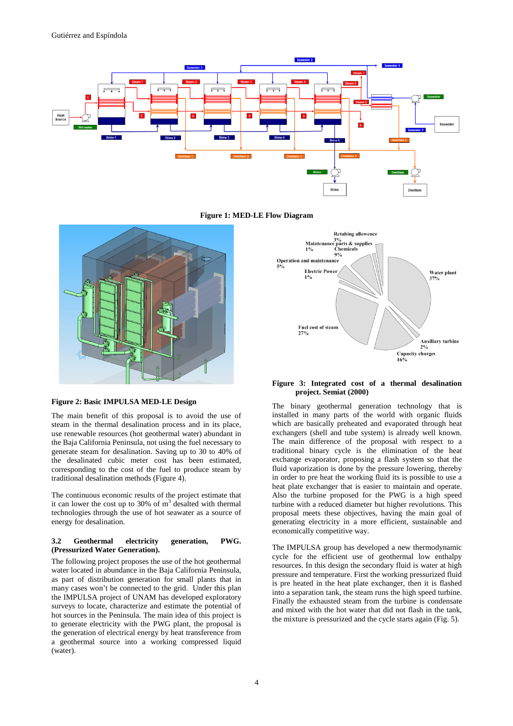





# **Figure 2: Basic IMPULSA MED-LE Design**

The main benefit of this proposal is to avoid the use of steam in the thermal desalination process and in its place, use renewable resources (hot geothermal water) abundant in the Baja California Peninsula, not using the fuel necessary to generate steam for desalination. Saving up to 30 to 40% of the desalinated cubic meter cost has been estimated, corresponding to the cost of the fuel to produce steam by traditional desalination methods (Figure 4).

The continuous economic results of the project estimate that it can lower the cost up to 30% of  $m<sup>3</sup>$  desalted with thermal technologies through the use of hot seawater as a source of energy for desalination.

# **3.2 Geothermal electricity generation, PWG. (Pressurized Water Generation).**

The following project proposes the use of the hot geothermal water located in abundance in the Baja California Peninsula, as part of distribution generation for small plants that in many cases won't be connected to the grid. Under this plan the IMPULSA project of UNAM has developed exploratory surveys to locate, characterize and estimate the potential of hot sources in the Peninsula. The main idea of this project is to generate electricity with the PWG plant, the proposal is the generation of electrical energy by heat transference from a geothermal source into a working compressed liquid (water).



### **Figure 3: Integrated cost of a thermal desalination project. Semiat (2000)**

The binary geothermal generation technology that is installed in many parts of the world with organic fluids which are basically preheated and evaporated through heat exchangers (shell and tube system) is already well known. The main difference of the proposal with respect to a traditional binary cycle is the elimination of the heat exchange evaporator, proposing a flash system so that the fluid vaporization is done by the pressure lowering, thereby in order to pre heat the working fluid its is possible to use a heat plate exchanger that is easier to maintain and operate. Also the turbine proposed for the PWG is a high speed turbine with a reduced diameter but higher revolutions. This proposal meets these objectives, having the main goal of generating electricity in a more efficient, sustainable and economically competitive way.

The IMPULSA group has developed a new thermodynamic cycle for the efficient use of geothermal low enthalpy resources. In this design the secondary fluid is water at high pressure and temperature. First the working pressurized fluid is pre heated in the heat plate exchanger, then it is flashed into a separation tank, the steam runs the high speed turbine. Finally the exhausted steam from the turbine is condensate and mixed with the hot water that did not flash in the tank, the mixture is pressurized and the cycle starts again (Fig. 5).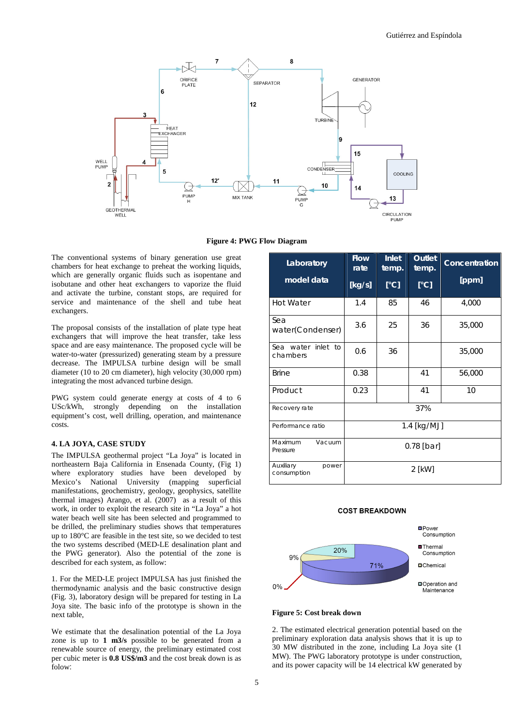

**Figure 4: PWG Flow Diagram** 

The conventional systems of binary generation use great chambers for heat exchange to preheat the working liquids, which are generally organic fluids such as isopentane and isobutane and other heat exchangers to vaporize the fluid and activate the turbine, constant stops, are required for service and maintenance of the shell and tube heat exchangers.

The proposal consists of the installation of plate type heat exchangers that will improve the heat transfer, take less space and are easy maintenance. The proposed cycle will be water-to-water (pressurized) generating steam by a pressure decrease. The IMPULSA turbine design will be small diameter (10 to 20 cm diameter), high velocity (30,000 rpm) integrating the most advanced turbine design.

PWG system could generate energy at costs of 4 to 6 USc/kWh, strongly depending on the installation equipment's cost, well drilling, operation, and maintenance costs.

# **4. LA JOYA, CASE STUDY**

The IMPULSA geothermal project "La Joya" is located in northeastern Baja California in Ensenada County, (Fig 1) where exploratory studies have been developed by Mexico's National University (mapping superficial manifestations, geochemistry, geology, geophysics, satellite thermal images) Arango, et al. (2007) as a result of this work, in order to exploit the research site in "La Joya" a hot water beach well site has been selected and programmed to be drilled, the preliminary studies shows that temperatures up to 180°C are feasible in the test site, so we decided to test the two systems described (MED-LE desalination plant and the PWG generator). Also the potential of the zone is described for each system, as follow:

1. For the MED-LE project IMPULSA has just finished the thermodynamic analysis and the basic constructive design (Fig. 3), laboratory design will be prepared for testing in La Joya site. The basic info of the prototype is shown in the next table,

We estimate that the desalination potential of the La Joya zone is up to **1 m3/s** possible to be generated from a renewable source of energy, the preliminary estimated cost per cubic meter is **0.8 US\$/m3** and the cost break down is as folow:

| Laboratory                        | <b>Flow</b><br>rate | <b>Inlet</b><br>temp. | <b>Outlet</b><br>temp. | Concentration |  |
|-----------------------------------|---------------------|-----------------------|------------------------|---------------|--|
| model data                        | [Kg/s]              | [°C]                  | [°C]                   | [ppm]         |  |
| <b>Hot Water</b>                  | 1.4                 | 85                    | 46                     | 4,000         |  |
| Sea<br>water(Condenser)           | 3.6                 | 25                    | 36                     | 35,000        |  |
| Sea water inlet to<br>chambers    | 0.6                 | 36                    |                        | 35,000        |  |
| <b>Brine</b>                      | 0.38                |                       | 41                     | 56,000        |  |
| Product                           | 0.23                |                       | 41                     | 10            |  |
| Recovery rate                     | 37%                 |                       |                        |               |  |
| Performance ratio                 | 1.4 [kg/MJ]         |                       |                        |               |  |
| Maximum<br>Vacuum<br>Pressure     | $0.78$ [bar]        |                       |                        |               |  |
| Auxiliary<br>power<br>consumption | $2$ [kW]            |                       |                        |               |  |

## **COST BREAKDOWN**



### **Figure 5: Cost break down**

2. The estimated electrical generation potential based on the preliminary exploration data analysis shows that it is up to 30 MW distributed in the zone, including La Joya site (1 MW). The PWG laboratory prototype is under construction, and its power capacity will be 14 electrical kW generated by